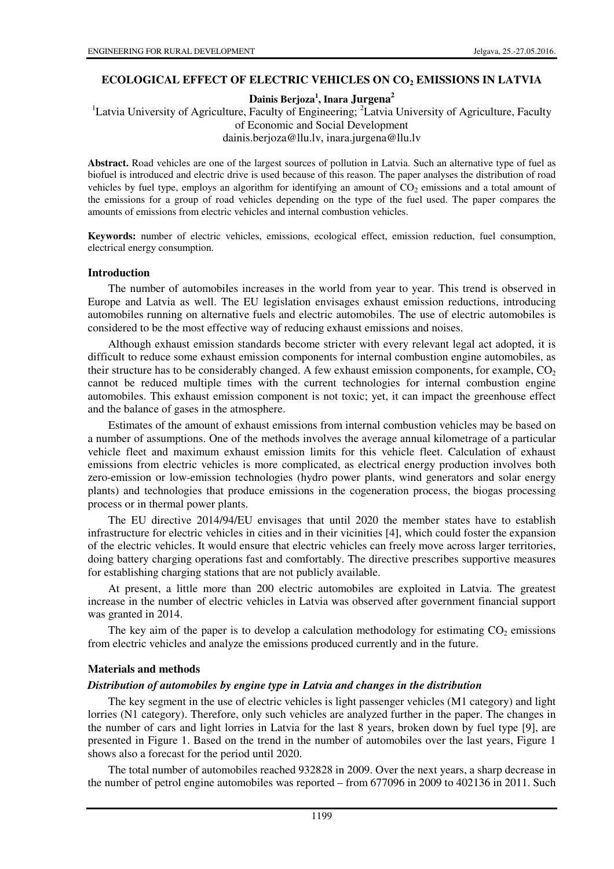## **ECOLOGICAL EFFECT OF ELECTRIC VEHICLES ON CO2 EMISSIONS IN LATVIA**

**Dainis Berjoza<sup>1</sup> , Inara Jurgena<sup>2</sup>**

<sup>1</sup>Latvia University of Agriculture, Faculty of Engineering; <sup>2</sup>Latvia University of Agriculture, Faculty of Economic and Social Development dainis.berjoza@llu.lv, inara.jurgena@llu.lv

**Abstract.** Road vehicles are one of the largest sources of pollution in Latvia. Such an alternative type of fuel as biofuel is introduced and electric drive is used because of this reason. The paper analyses the distribution of road vehicles by fuel type, employs an algorithm for identifying an amount of  $CO<sub>2</sub>$  emissions and a total amount of the emissions for a group of road vehicles depending on the type of the fuel used. The paper compares the amounts of emissions from electric vehicles and internal combustion vehicles.

**Keywords:** number of electric vehicles, emissions, ecological effect, emission reduction, fuel consumption, electrical energy consumption.

#### **Introduction**

The number of automobiles increases in the world from year to year. This trend is observed in Europe and Latvia as well. The EU legislation envisages exhaust emission reductions, introducing automobiles running on alternative fuels and electric automobiles. The use of electric automobiles is considered to be the most effective way of reducing exhaust emissions and noises.

Although exhaust emission standards become stricter with every relevant legal act adopted, it is difficult to reduce some exhaust emission components for internal combustion engine automobiles, as their structure has to be considerably changed. A few exhaust emission components, for example,  $CO<sub>2</sub>$ cannot be reduced multiple times with the current technologies for internal combustion engine automobiles. This exhaust emission component is not toxic; yet, it can impact the greenhouse effect and the balance of gases in the atmosphere.

Estimates of the amount of exhaust emissions from internal combustion vehicles may be based on a number of assumptions. One of the methods involves the average annual kilometrage of a particular vehicle fleet and maximum exhaust emission limits for this vehicle fleet. Calculation of exhaust emissions from electric vehicles is more complicated, as electrical energy production involves both zero-emission or low-emission technologies (hydro power plants, wind generators and solar energy plants) and technologies that produce emissions in the cogeneration process, the biogas processing process or in thermal power plants.

The EU directive 2014/94/EU envisages that until 2020 the member states have to establish infrastructure for electric vehicles in cities and in their vicinities [4], which could foster the expansion of the electric vehicles. It would ensure that electric vehicles can freely move across larger territories, doing battery charging operations fast and comfortably. The directive prescribes supportive measures for establishing charging stations that are not publicly available.

At present, a little more than 200 electric automobiles are exploited in Latvia. The greatest increase in the number of electric vehicles in Latvia was observed after government financial support was granted in 2014.

The key aim of the paper is to develop a calculation methodology for estimating  $CO<sub>2</sub>$  emissions from electric vehicles and analyze the emissions produced currently and in the future.

## **Materials and methods**

## *Distribution of automobiles by engine type in Latvia and changes in the distribution*

The key segment in the use of electric vehicles is light passenger vehicles (M1 category) and light lorries (N1 category). Therefore, only such vehicles are analyzed further in the paper. The changes in the number of cars and light lorries in Latvia for the last 8 years, broken down by fuel type [9], are presented in Figure 1. Based on the trend in the number of automobiles over the last years, Figure 1 shows also a forecast for the period until 2020.

The total number of automobiles reached 932828 in 2009. Over the next years, a sharp decrease in the number of petrol engine automobiles was reported – from 677096 in 2009 to 402136 in 2011. Such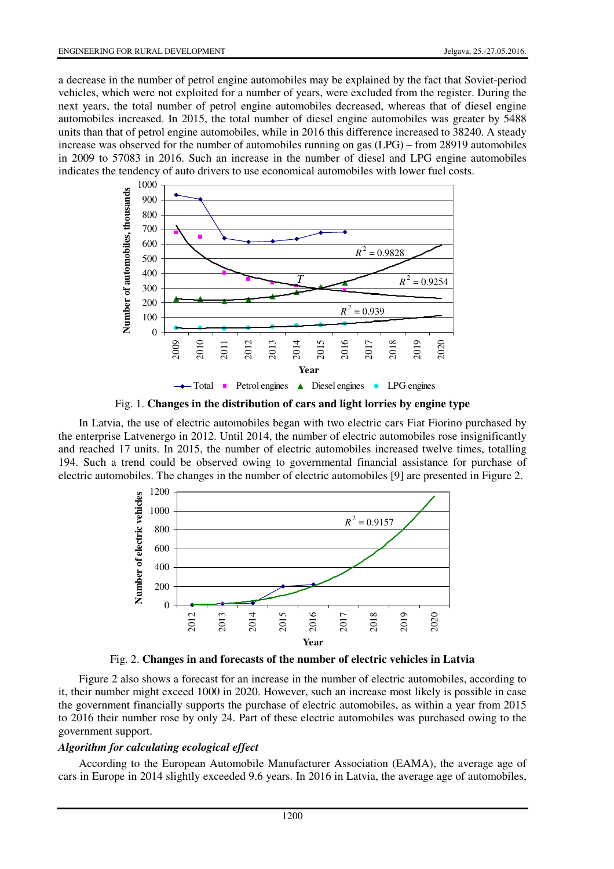a decrease in the number of petrol engine automobiles may be explained by the fact that Soviet-period vehicles, which were not exploited for a number of years, were excluded from the register. During the next years, the total number of petrol engine automobiles decreased, whereas that of diesel engine automobiles increased. In 2015, the total number of diesel engine automobiles was greater by 5488 units than that of petrol engine automobiles, while in 2016 this difference increased to 38240. A steady increase was observed for the number of automobiles running on gas (LPG) – from 28919 automobiles in 2009 to 57083 in 2016. Such an increase in the number of diesel and LPG engine automobiles indicates the tendency of auto drivers to use economical automobiles with lower fuel costs.



Fig. 1. **Changes in the distribution of cars and light lorries by engine type** 

In Latvia, the use of electric automobiles began with two electric cars Fiat Fiorino purchased by the enterprise Latvenergo in 2012. Until 2014, the number of electric automobiles rose insignificantly and reached 17 units. In 2015, the number of electric automobiles increased twelve times, totalling 194. Such a trend could be observed owing to governmental financial assistance for purchase of electric automobiles. The changes in the number of electric automobiles [9] are presented in Figure 2.



Fig. 2. **Changes in and forecasts of the number of electric vehicles in Latvia** 

Figure 2 also shows a forecast for an increase in the number of electric automobiles, according to it, their number might exceed 1000 in 2020. However, such an increase most likely is possible in case the government financially supports the purchase of electric automobiles, as within a year from 2015 to 2016 their number rose by only 24. Part of these electric automobiles was purchased owing to the government support.

# *Algorithm for calculating ecological effect*

According to the European Automobile Manufacturer Association (EAMA), the average age of cars in Europe in 2014 slightly exceeded 9.6 years. In 2016 in Latvia, the average age of automobiles,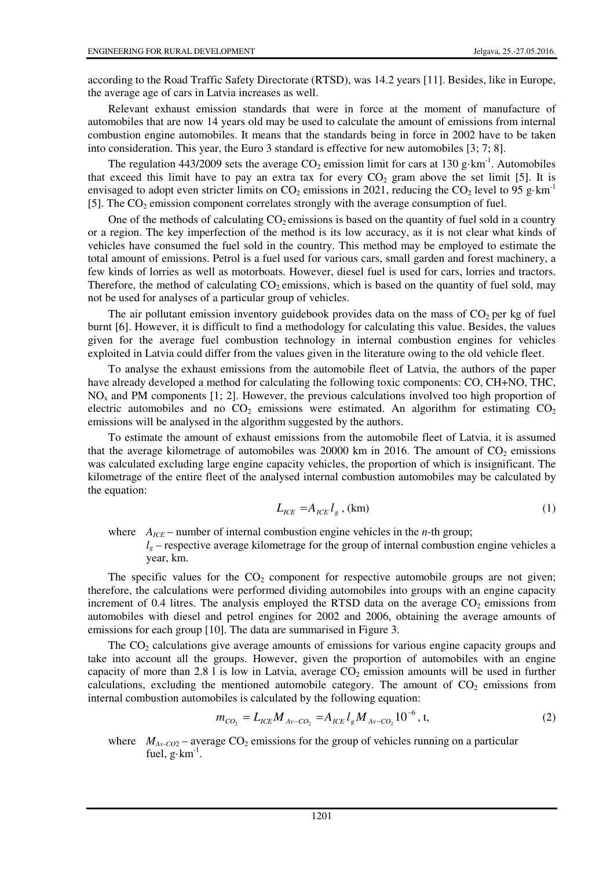according to the Road Traffic Safety Directorate (RTSD), was 14.2 years [11]. Besides, like in Europe, the average age of cars in Latvia increases as well.

Relevant exhaust emission standards that were in force at the moment of manufacture of automobiles that are now 14 years old may be used to calculate the amount of emissions from internal combustion engine automobiles. It means that the standards being in force in 2002 have to be taken into consideration. This year, the Euro 3 standard is effective for new automobiles [3; 7; 8].

The regulation 443/2009 sets the average  $CO_2$  emission limit for cars at 130 g·km<sup>-1</sup>. Automobiles that exceed this limit have to pay an extra tax for every  $CO_2$  gram above the set limit [5]. It is envisaged to adopt even stricter limits on CO<sub>2</sub> emissions in 2021, reducing the CO<sub>2</sub> level to 95 g·km<sup>-1</sup> [5]. The  $CO<sub>2</sub>$  emission component correlates strongly with the average consumption of fuel.

One of the methods of calculating  $CO<sub>2</sub>$  emissions is based on the quantity of fuel sold in a country or a region. The key imperfection of the method is its low accuracy, as it is not clear what kinds of vehicles have consumed the fuel sold in the country. This method may be employed to estimate the total amount of emissions. Petrol is a fuel used for various cars, small garden and forest machinery, a few kinds of lorries as well as motorboats. However, diesel fuel is used for cars, lorries and tractors. Therefore, the method of calculating  $CO<sub>2</sub>$  emissions, which is based on the quantity of fuel sold, may not be used for analyses of a particular group of vehicles.

The air pollutant emission inventory guidebook provides data on the mass of  $CO<sub>2</sub>$  per kg of fuel burnt [6]. However, it is difficult to find a methodology for calculating this value. Besides, the values given for the average fuel combustion technology in internal combustion engines for vehicles exploited in Latvia could differ from the values given in the literature owing to the old vehicle fleet.

To analyse the exhaust emissions from the automobile fleet of Latvia, the authors of the paper have already developed a method for calculating the following toxic components: CO, CH+NO, THC,  $NO<sub>x</sub>$  and PM components [1; 2]. However, the previous calculations involved too high proportion of electric automobiles and no  $CO<sub>2</sub>$  emissions were estimated. An algorithm for estimating  $CO<sub>2</sub>$ emissions will be analysed in the algorithm suggested by the authors.

To estimate the amount of exhaust emissions from the automobile fleet of Latvia, it is assumed that the average kilometrage of automobiles was 20000 km in 2016. The amount of  $CO<sub>2</sub>$  emissions was calculated excluding large engine capacity vehicles, the proportion of which is insignificant. The kilometrage of the entire fleet of the analysed internal combustion automobiles may be calculated by the equation:

$$
L_{ICE} = A_{ICE} l_g, \text{(km)}\tag{1}
$$

where  $A_{ICE}$  – number of internal combustion engine vehicles in the *n*-th group;  $l<sub>g</sub>$  – respective average kilometrage for the group of internal combustion engine vehicles a year, km.

The specific values for the  $CO<sub>2</sub>$  component for respective automobile groups are not given; therefore, the calculations were performed dividing automobiles into groups with an engine capacity increment of 0.4 litres. The analysis employed the RTSD data on the average  $CO<sub>2</sub>$  emissions from automobiles with diesel and petrol engines for 2002 and 2006, obtaining the average amounts of emissions for each group [10]. The data are summarised in Figure 3.

The  $CO<sub>2</sub>$  calculations give average amounts of emissions for various engine capacity groups and take into account all the groups. However, given the proportion of automobiles with an engine capacity of more than 2.8 l is low in Latvia, average  $CO<sub>2</sub>$  emission amounts will be used in further calculations, excluding the mentioned automobile category. The amount of  $CO<sub>2</sub>$  emissions from internal combustion automobiles is calculated by the following equation:

$$
m_{CO_2} = L_{ICE} M_{Av-CO_2} = A_{ICE} l_g M_{Av-CO_2} 10^{-6}, \, t, \tag{2}
$$

where  $M_{Av\text{-}CO2}$  – average CO<sub>2</sub> emissions for the group of vehicles running on a particular fuel,  $g \cdot km^{-1}$ .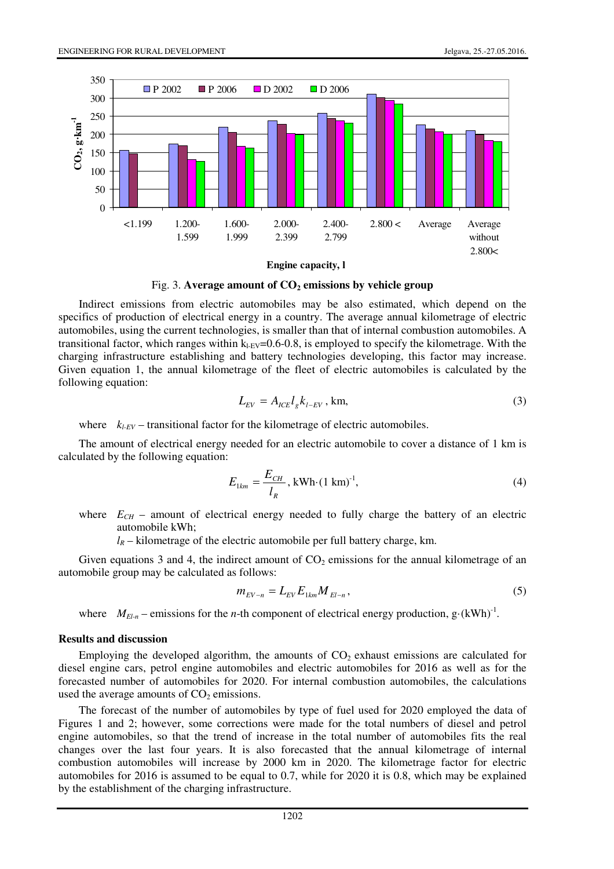

**Engine capacity, l**



Indirect emissions from electric automobiles may be also estimated, which depend on the specifics of production of electrical energy in a country. The average annual kilometrage of electric automobiles, using the current technologies, is smaller than that of internal combustion automobiles. A transitional factor, which ranges within  $k_{LEV}=0.6-0.8$ , is employed to specify the kilometrage. With the charging infrastructure establishing and battery technologies developing, this factor may increase. Given equation 1, the annual kilometrage of the fleet of electric automobiles is calculated by the following equation:

$$
L_{EV} = A_{ICE} l_g k_{l-EV}, \text{km},\tag{3}
$$

where  $k_{LEV}$  – transitional factor for the kilometrage of electric automobiles.

The amount of electrical energy needed for an electric automobile to cover a distance of 1 km is calculated by the following equation:

$$
E_{1km} = \frac{E_{CH}}{l_R}, \text{kWh} \cdot (1 \text{ km})^{-1}, \tag{4}
$$

where  $E_{CH}$  – amount of electrical energy needed to fully charge the battery of an electric automobile kWh;

 $l_R$  – kilometrage of the electric automobile per full battery charge, km.

Given equations 3 and 4, the indirect amount of  $CO<sub>2</sub>$  emissions for the annual kilometrage of an automobile group may be calculated as follows:

$$
m_{EV-n} = L_{EV} E_{1km} M_{El-n},
$$
\n(5)

where  $M_{El-n}$  – emissions for the *n*-th component of electrical energy production, g·(kWh)<sup>-1</sup>.

#### **Results and discussion**

Employing the developed algorithm, the amounts of  $CO<sub>2</sub>$  exhaust emissions are calculated for diesel engine cars, petrol engine automobiles and electric automobiles for 2016 as well as for the forecasted number of automobiles for 2020. For internal combustion automobiles, the calculations used the average amounts of  $CO<sub>2</sub>$  emissions.

The forecast of the number of automobiles by type of fuel used for 2020 employed the data of Figures 1 and 2; however, some corrections were made for the total numbers of diesel and petrol engine automobiles, so that the trend of increase in the total number of automobiles fits the real changes over the last four years. It is also forecasted that the annual kilometrage of internal combustion automobiles will increase by 2000 km in 2020. The kilometrage factor for electric automobiles for 2016 is assumed to be equal to 0.7, while for 2020 it is 0.8, which may be explained by the establishment of the charging infrastructure.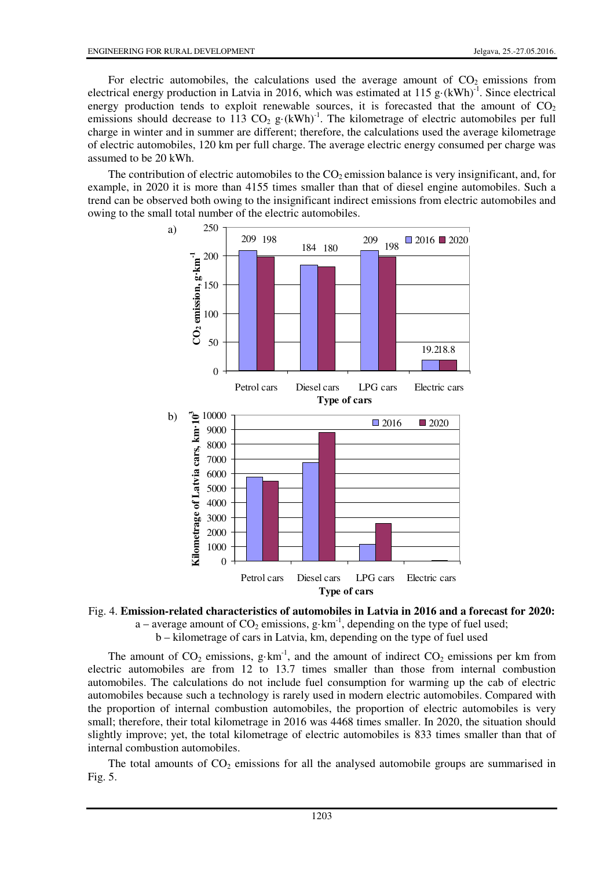For electric automobiles, the calculations used the average amount of  $CO<sub>2</sub>$  emissions from electrical energy production in Latvia in 2016, which was estimated at 115 g $\cdot$ (kWh)<sup>-1</sup>. Since electrical energy production tends to exploit renewable sources, it is forecasted that the amount of  $CO<sub>2</sub>$ emissions should decrease to 113 CO<sub>2</sub> g·(kWh)<sup>-1</sup>. The kilometrage of electric automobiles per full charge in winter and in summer are different; therefore, the calculations used the average kilometrage of electric automobiles, 120 km per full charge. The average electric energy consumed per charge was assumed to be 20 kWh.

The contribution of electric automobiles to the  $CO<sub>2</sub>$  emission balance is very insignificant, and, for example, in 2020 it is more than 4155 times smaller than that of diesel engine automobiles. Such a trend can be observed both owing to the insignificant indirect emissions from electric automobiles and owing to the small total number of the electric automobiles.





a – average amount of  $CO_2$  emissions, g·km<sup>-1</sup>, depending on the type of fuel used;

b – kilometrage of cars in Latvia, km, depending on the type of fuel used

The amount of  $CO_2$  emissions, g·km<sup>-1</sup>, and the amount of indirect  $CO_2$  emissions per km from electric automobiles are from 12 to 13.7 times smaller than those from internal combustion automobiles. The calculations do not include fuel consumption for warming up the cab of electric automobiles because such a technology is rarely used in modern electric automobiles. Compared with the proportion of internal combustion automobiles, the proportion of electric automobiles is very small; therefore, their total kilometrage in 2016 was 4468 times smaller. In 2020, the situation should slightly improve; yet, the total kilometrage of electric automobiles is 833 times smaller than that of internal combustion automobiles.

The total amounts of  $CO<sub>2</sub>$  emissions for all the analysed automobile groups are summarised in Fig. 5.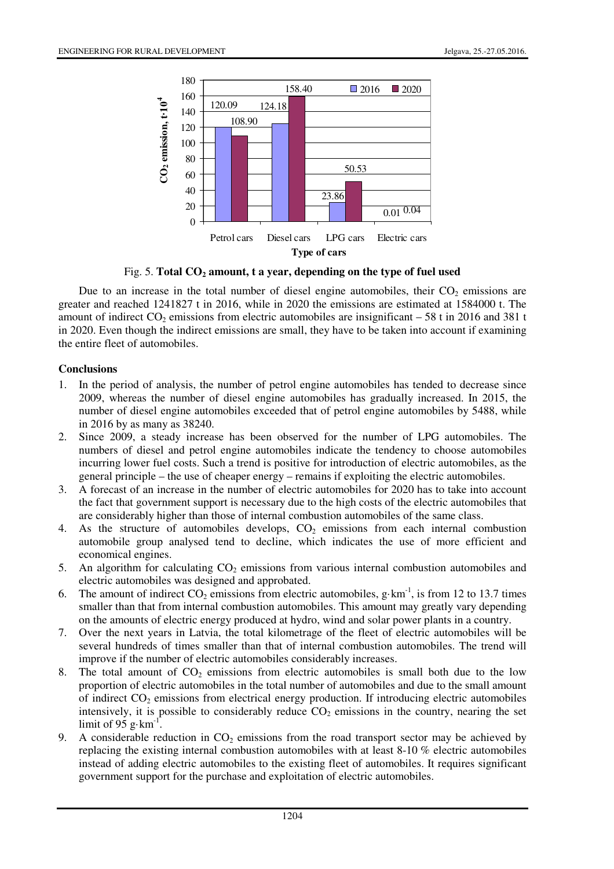

Fig. 5. **Total CO2 amount, t a year, depending on the type of fuel used** 

Due to an increase in the total number of diesel engine automobiles, their  $CO<sub>2</sub>$  emissions are greater and reached 1241827 t in 2016, while in 2020 the emissions are estimated at 1584000 t. The amount of indirect  $CO_2$  emissions from electric automobiles are insignificant – 58 t in 2016 and 381 t in 2020. Even though the indirect emissions are small, they have to be taken into account if examining the entire fleet of automobiles.

## **Conclusions**

- 1. In the period of analysis, the number of petrol engine automobiles has tended to decrease since 2009, whereas the number of diesel engine automobiles has gradually increased. In 2015, the number of diesel engine automobiles exceeded that of petrol engine automobiles by 5488, while in 2016 by as many as 38240.
- 2. Since 2009, a steady increase has been observed for the number of LPG automobiles. The numbers of diesel and petrol engine automobiles indicate the tendency to choose automobiles incurring lower fuel costs. Such a trend is positive for introduction of electric automobiles, as the general principle – the use of cheaper energy – remains if exploiting the electric automobiles.
- 3. A forecast of an increase in the number of electric automobiles for 2020 has to take into account the fact that government support is necessary due to the high costs of the electric automobiles that are considerably higher than those of internal combustion automobiles of the same class.
- 4. As the structure of automobiles develops,  $CO<sub>2</sub>$  emissions from each internal combustion automobile group analysed tend to decline, which indicates the use of more efficient and economical engines.
- 5. An algorithm for calculating  $CO<sub>2</sub>$  emissions from various internal combustion automobiles and electric automobiles was designed and approbated.
- 6. The amount of indirect CO<sub>2</sub> emissions from electric automobiles, g·km<sup>-1</sup>, is from 12 to 13.7 times smaller than that from internal combustion automobiles. This amount may greatly vary depending on the amounts of electric energy produced at hydro, wind and solar power plants in a country.
- 7. Over the next years in Latvia, the total kilometrage of the fleet of electric automobiles will be several hundreds of times smaller than that of internal combustion automobiles. The trend will improve if the number of electric automobiles considerably increases.
- 8. The total amount of  $CO<sub>2</sub>$  emissions from electric automobiles is small both due to the low proportion of electric automobiles in the total number of automobiles and due to the small amount of indirect  $CO<sub>2</sub>$  emissions from electrical energy production. If introducing electric automobiles intensively, it is possible to considerably reduce  $CO<sub>2</sub>$  emissions in the country, nearing the set limit of  $95 \text{ g} \cdot \text{km}^{-1}$ .
- 9. A considerable reduction in  $CO<sub>2</sub>$  emissions from the road transport sector may be achieved by replacing the existing internal combustion automobiles with at least 8-10 % electric automobiles instead of adding electric automobiles to the existing fleet of automobiles. It requires significant government support for the purchase and exploitation of electric automobiles.